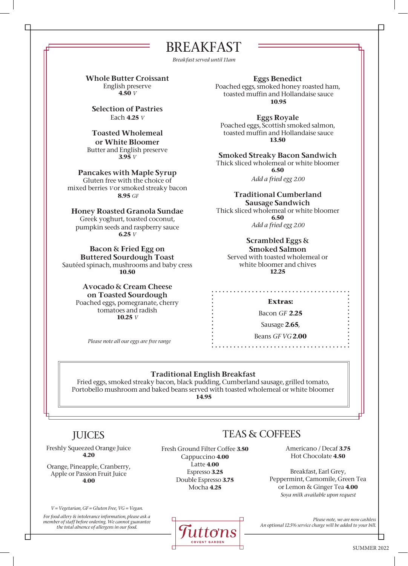BREAKFAST

*Breakfast served until 11am*

Whole Butter Croissant English preserve **4.50** *V*

Selection of Pastries Each **4.25** *V*

Toasted Wholemeal or White Bloomer Butter and English preserve **3.95** *V*

Pancakes with Maple Syrup Gluten free with the choice of mixed berries *V* or smoked streaky bacon **8.95** *GF*

Honey Roasted Granola Sundae Greek yoghurt, toasted coconut, pumpkin seeds and raspberry sauce **6.25** *V*

Bacon & Fried Egg on Buttered Sourdough Toast Sautéed spinach, mushrooms and baby cress **10.50**

> Avocado & Cream Cheese on Toasted Sourdough Poached eggs, pomegranate, cherry tomatoes and radish **10.25** *V*

> > *Please note all our eggs are free range*

Eggs Benedict Poached eggs, smoked honey roasted ham, toasted muffin and Hollandaise sauce **10.95**

Eggs Royale Poached eggs, Scottish smoked salmon, toasted muffin and Hollandaise sauce **13.50**

Smoked Streaky Bacon Sandwich Thick sliced wholemeal or white bloomer **6.50**

*Add a fried egg 2.00*

Traditional Cumberland Sausage Sandwich Thick sliced wholemeal or white bloomer **6.50** *Add a fried egg 2.00* 

Scrambled Eggs & Smoked Salmon Served with toasted wholemeal or white bloomer and chives **12.25**

**Extras:** 

. . . . . . . . . . .

Bacon *GF* **2.25**

Sausage **2.65**,

Beans *GF VG* **2.00** . . . . . . . . . . . . . . . . . . .

## Traditional English Breakfast

Fried eggs, smoked streaky bacon, black pudding, Cumberland sausage, grilled tomato, Portobello mushroom and baked beans served with toasted wholemeal or white bloomer **14.95**

## JUICES

Freshly Squeezed Orange Juice **4.20**

Orange, Pineapple, Cranberry, Apple or Passion Fruit Juice **4.00**

*V = Vegetarian, GF = Gluten Free, VG = Vegan. For food allery & intolerance information, please ask a member of staff before ordering. We cannot guarantee the total absence of allergens in our food.*

Fresh Ground Filter Coffee **3.50** Cappuccino **4.00** Latte **4.00** Espresso **3.25** Double Espresso **3.75** Mocha **4.25**



## TEAS & COFFEES

Americano / Decaf **3.75** Hot Chocolate **4.50**

Breakfast, Earl Grey, Peppermint, Camomile, Green Tea or Lemon & Ginger Tea **4.00** *Soya milk available upon request*

*Please note, we are now cashless An optional 12.5% service charge will be added to your bill.*